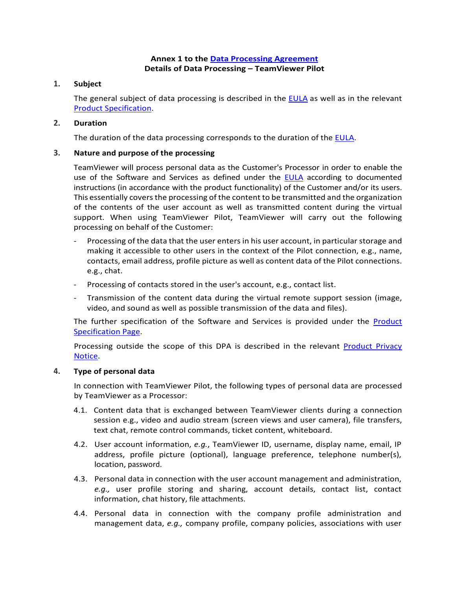# **Annex 1 to the [Data Processing Agreement](https://www.teamviewer.com/en/eula/#dpa) Details of Data Processing – TeamViewer Pilot**

# **1. Subject**

The general subject of data processing is described in the [EULA](https://www.teamviewer.com/en/eula/#eula) as well as in the relevant [Product Specification.](https://www.teamviewer.com/en/product-descriptions/)

# **2. Duration**

The duration of the data processing corresponds to the duration of the [EULA.](https://www.teamviewer.com/en/eula/#eula)

### **3. Nature and purpose of the processing**

TeamViewer will process personal data as the Customer's Processor in order to enable the use of the Software and Services as defined under the [EULA](https://www.teamviewer.com/en/eula/#eula) according to documented instructions (in accordance with the product functionality) of the Customer and/or its users. This essentially covers the processing of the content to be transmitted and the organization of the contents of the user account as well as transmitted content during the virtual support. When using TeamViewer Pilot, TeamViewer will carry out the following processing on behalf of the Customer:

- Processing of the data that the user enters in his user account, in particular storage and making it accessible to other users in the context of the Pilot connection, e.g., name, contacts, email address, profile picture as well as content data of the Pilot connections. e.g., chat.
- Processing of contacts stored in the user's account, e.g., contact list.
- Transmission of the content data during the virtual remote support session (image, video, and sound as well as possible transmission of the data and files).

The further specification of the Software and Services is provided under the [Product](https://www.teamviewer.com/en/product-descriptions/)  [Specification Page.](https://www.teamviewer.com/en/product-descriptions/)

Processing outside the scope of this DPA is described in the relevant [Product Privacy](https://www.teamviewer.com/en/privacy-policy/)  [Notice.](https://www.teamviewer.com/en/privacy-policy/)

#### **4. Type of personal data**

In connection with TeamViewer Pilot, the following types of personal data are processed by TeamViewer as a Processor:

- 4.1. Content data that is exchanged between TeamViewer clients during a connection session e.g., video and audio stream (screen views and user camera), file transfers, text chat, remote control commands, ticket content, whiteboard.
- 4.2. User account information, *e.g.*, TeamViewer ID, username, display name, email, IP address, profile picture (optional), language preference, telephone number(s), location, password.
- 4.3. Personal data in connection with the user account management and administration, *e.g.,* user profile storing and sharing, account details, contact list, contact information, chat history, file attachments.
- 4.4. Personal data in connection with the company profile administration and management data, *e.g.,* company profile, company policies, associations with user